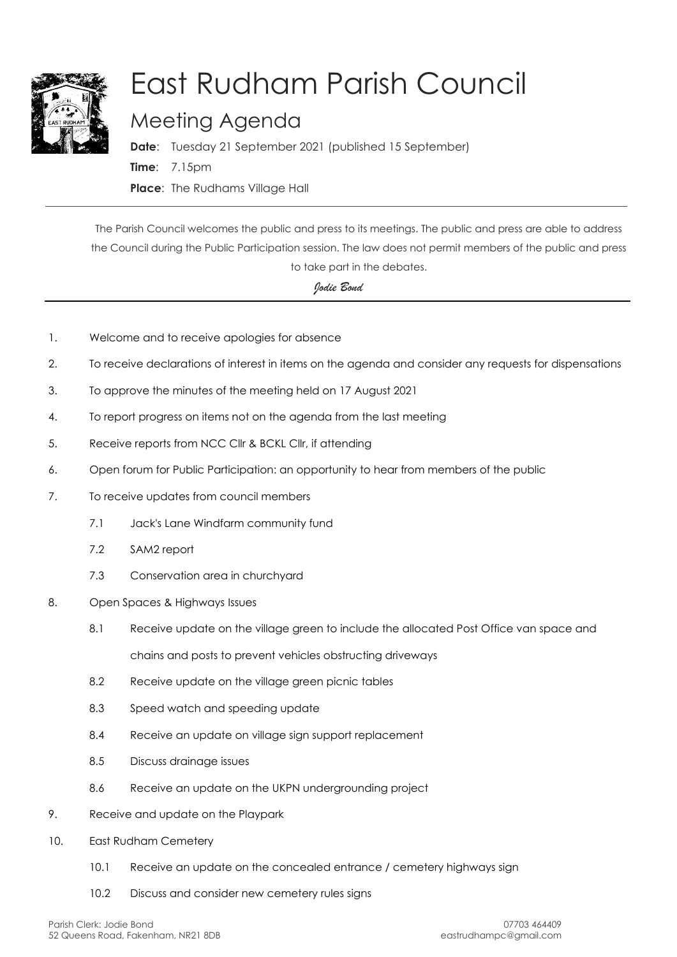

## East Rudham Parish Council

## Meeting Agenda

**Date**: Tuesday 21 September 2021 (published 15 September) **Time**: 7.15pm **Place**: The Rudhams Village Hall

The Parish Council welcomes the public and press to its meetings. The public and press are able to address the Council during the Public Participation session. The law does not permit members of the public and press to take part in the debates.

## *Jodie Bond*

- 1. Welcome and to receive apologies for absence
- 2. To receive declarations of interest in items on the agenda and consider any requests for dispensations
- 3. To approve the minutes of the meeting held on 17 August 2021
- 4. To report progress on items not on the agenda from the last meeting
- 5. Receive reports from NCC Cllr & BCKL Cllr, if attending
- 6. Open forum for Public Participation: an opportunity to hear from members of the public
- 7. To receive updates from council members
	- 7.1 Jack's Lane Windfarm community fund
	- 7.2 SAM2 report
	- 7.3 Conservation area in churchyard
- 8. Open Spaces & Highways Issues
	- 8.1 Receive update on the village green to include the allocated Post Office van space and

chains and posts to prevent vehicles obstructing driveways

- 8.2 Receive update on the village green picnic tables
- 8.3 Speed watch and speeding update
- 8.4 Receive an update on village sign support replacement
- 8.5 Discuss drainage issues
- 8.6 Receive an update on the UKPN undergrounding project
- 9. Receive and update on the Playpark
- 10. East Rudham Cemetery
	- 10.1 Receive an update on the concealed entrance / cemetery highways sign
	- 10.2 Discuss and consider new cemetery rules signs